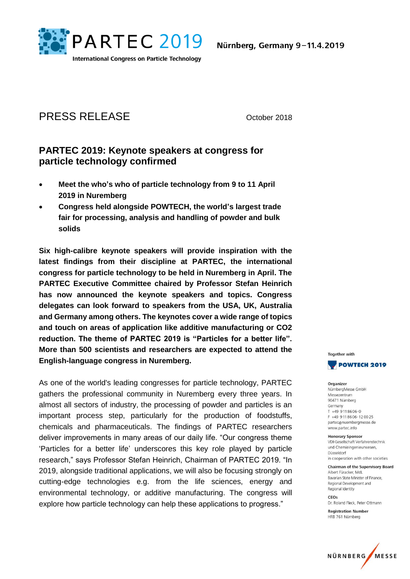

# PRESS RELEASE October 2018

## **PARTEC 2019: Keynote speakers at congress for particle technology confirmed**

- **Meet the who's who of particle technology from 9 to 11 April 2019 in Nuremberg**
- **Congress held alongside POWTECH, the world's largest trade fair for processing, analysis and handling of powder and bulk solids**

**Six high-calibre keynote speakers will provide inspiration with the latest findings from their discipline at PARTEC, the international congress for particle technology to be held in Nuremberg in April. The PARTEC Executive Committee chaired by Professor Stefan Heinrich has now announced the keynote speakers and topics. Congress delegates can look forward to speakers from the USA, UK, Australia and Germany among others. The keynotes cover a wide range of topics and touch on areas of application like additive manufacturing or CO2 reduction. The theme of PARTEC 2019 is "Particles for a better life". More than 500 scientists and researchers are expected to attend the English-language congress in Nuremberg.** 

As one of the world's leading congresses for particle technology, PARTEC gathers the professional community in Nuremberg every three years. In almost all sectors of industry, the processing of powder and particles is an important process step, particularly for the production of foodstuffs, chemicals and pharmaceuticals. The findings of PARTEC researchers deliver improvements in many areas of our daily life. "Our congress theme 'Particles for a better life' underscores this key role played by particle research," says Professor Stefan Heinrich, Chairman of PARTEC 2019. "In 2019, alongside traditional applications, we will also be focusing strongly on cutting-edge technologies e.g. from the life sciences, energy and environmental technology, or additive manufacturing. The congress will explore how particle technology can help these applications to progress."



Organizer NürnberaMesse GmbH Messezentrum 90471 Nürnberg Germany  $T + 499118606 - 0$ F +49 9 11 86 06 - 12 00 25 partec@nuernbergmesse.de www.partec.info

**Honorary Sponsor** VDI-Gesellschaft Verfahrenstechnik und Chemieingenieurwesen, Düsseldorf in cooperation with other societies

**Chairman of the Supervisory Board** Albert Füracker Mdl Bavarian State Minister of Finance Regional Development and Regional Identity

CEOS Dr. Roland Fleck, Peter Ottmann

**Registration Number** HRB 761 Nürnberg

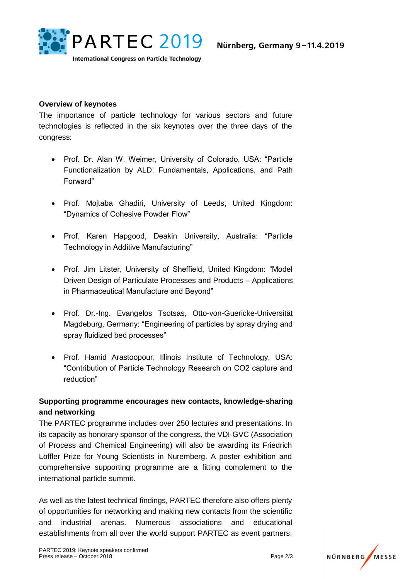

#### **Overview of keynotes**

The importance of particle technology for various sectors and future technologies is reflected in the six keynotes over the three days of the congress:

- Prof. Dr. Alan W. Weimer, University of Colorado, USA: "Particle Functionalization by ALD: Fundamentals, Applications, and Path Forward"
- Prof. Mojtaba Ghadiri, University of Leeds, United Kingdom: "Dynamics of Cohesive Powder Flow"
- Prof. Karen Hapgood, Deakin University, Australia: "Particle Technology in Additive Manufacturing"
- Prof. Jim Litster, University of Sheffield, United Kingdom: "Model Driven Design of Particulate Processes and Products – Applications in Pharmaceutical Manufacture and Beyond"
- Prof. Dr.-Ing. Evangelos Tsotsas, Otto-von-Guericke-Universität Magdeburg, Germany: "Engineering of particles by spray drying and spray fluidized bed processes"
- Prof. Hamid Arastoopour, Illinois Institute of Technology, USA: "Contribution of Particle Technology Research on CO2 capture and reduction"

### **Supporting programme encourages new contacts, knowledge-sharing and networking**

The PARTEC programme includes over 250 lectures and presentations. In its capacity as honorary sponsor of the congress, the VDI-GVC (Association of Process and Chemical Engineering) will also be awarding its Friedrich Löffler Prize for Young Scientists in Nuremberg. A poster exhibition and comprehensive supporting programme are a fitting complement to the international particle summit.

As well as the latest technical findings, PARTEC therefore also offers plenty of opportunities for networking and making new contacts from the scientific and industrial arenas. Numerous associations and educational establishments from all over the world support PARTEC as event partners.